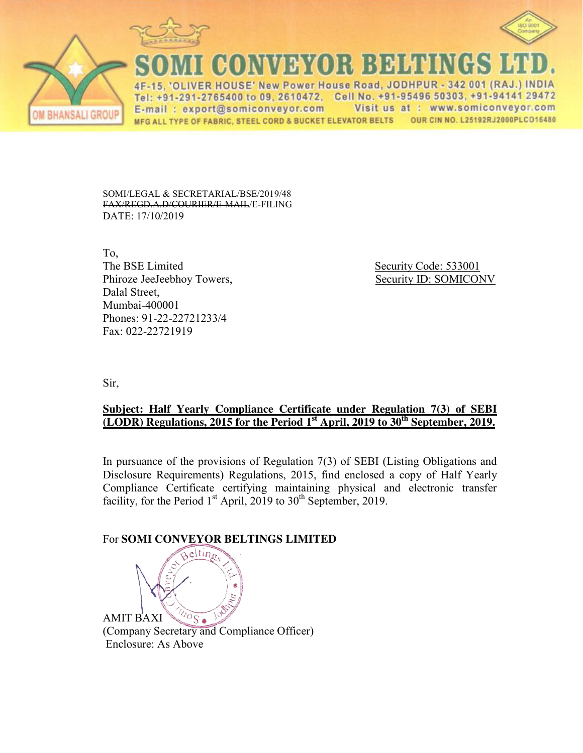



VDY(I); BDHHI

4F-15, 'OLIVER HOUSE' New Power House Road, JODHPUR - 342 001 (RAJ.) INDIA Tel: +91-291-2765400 to 09, 2610472. Cell No. +91-95496 50303, +91-94141 29472 Visit us at : www.somiconveyor.com E-mail: export@somiconveyor.com MFG ALL TYPE OF FABRIC, STEEL CORD & BUCKET ELEVATOR BELTS OUR CIN NO. L25192RJ2000PLCO16480

SOMI/LEGAL & SECRETARIAL/BSE/2019/48 FAX/REGD.A.D/COURIER/E-MAIL/E-FILING DATE: 17/10/2019

To, The BSE Limited Security Code: 533001 Phiroze JeeJeebhoy Towers, Security ID: SOMICONV Dalal Street, Mumbai-400001 Phones: 91-22-22721233/4 Fax: 022-22721919

Sir,

*ISALI GROL* 

## **Subject: Half Yearly Compliance Certificate under Regulation 7(3) of SEBI (LODR) Regulations, 2015 for the Period 1st April, 2019 to 30th September, 2019.**

In pursuance of the provisions of Regulation 7(3) of SEBI (Listing Obligations and Disclosure Requirements) Regulations, 2015, find enclosed a copy of Half Yearly Compliance Certificate certifying maintaining physical and electronic transfer facility, for the Period  $1<sup>st</sup>$  April, 2019 to  $30<sup>th</sup>$  September, 2019.

## For **SOMI CONVEYOR BELTINGS LIMITED**